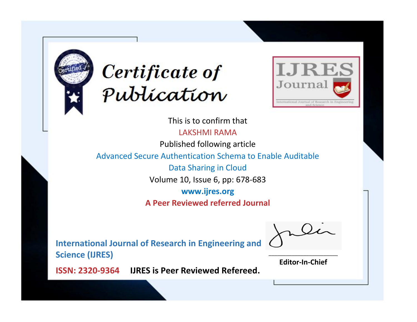



This is to confirm that

LAKSHMI RAMA

Published following article

Advanced Secure Authentication Schema to Enable Auditable

Data Sharing in Cloud

Volume 10, Issue 6, pp: 678-683

**www.ijres.org**

**A Peer Reviewed referred Journal**

**International Journal of Research in Engineering and Science (IJRES)**

\_\_\_\_\_\_\_\_\_\_\_\_\_\_\_\_\_\_\_\_\_\_\_\_ **Editor-In-Chief**

**Journal.**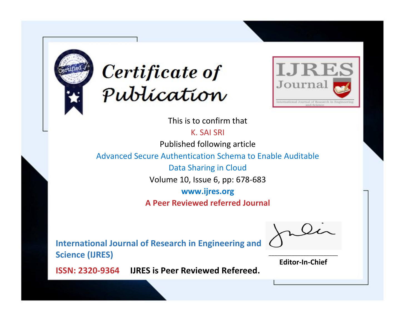



This is to confirm that

K. SAI SRI

Published following article

Advanced Secure Authentication Schema to Enable Auditable

Data Sharing in Cloud

Volume 10, Issue 6, pp: 678-683

**www.ijres.org**

**A Peer Reviewed referred Journal**

**International Journal of Research in Engineering and Science (IJRES)**

\_\_\_\_\_\_\_\_\_\_\_\_\_\_\_\_\_\_\_\_\_\_\_\_ **Editor-In-Chief**

**Journal.**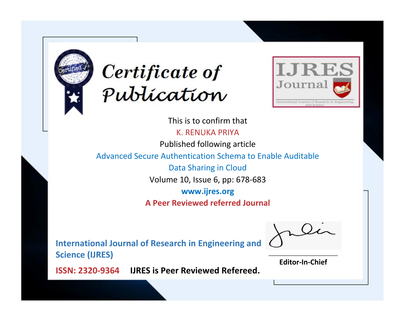



This is to confirm that K. RENUKA PRIYA Published following article Advanced Secure Authentication Schema to Enable Auditable Data Sharing in Cloud Volume 10, Issue 6, pp: 678-683 **www.ijres.org A Peer Reviewed referred Journal**

**International Journal of Research in Engineering and Science (IJRES)**

\_\_\_\_\_\_\_\_\_\_\_\_\_\_\_\_\_\_\_\_\_\_\_\_ **Editor-In-Chief**

**Journal.**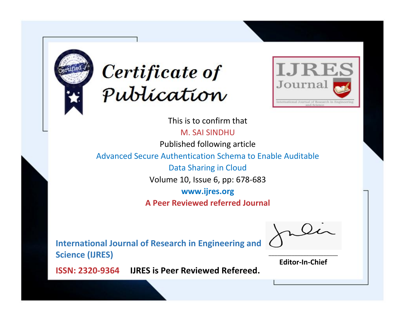



This is to confirm that

M. SAI SINDHU

Published following article

Advanced Secure Authentication Schema to Enable Auditable

Data Sharing in Cloud

Volume 10, Issue 6, pp: 678-683

**www.ijres.org**

**A Peer Reviewed referred Journal**

**International Journal of Research in Engineering and Science (IJRES)**

\_\_\_\_\_\_\_\_\_\_\_\_\_\_\_\_\_\_\_\_\_\_\_\_ **Editor-In-Chief**

**Journal.**